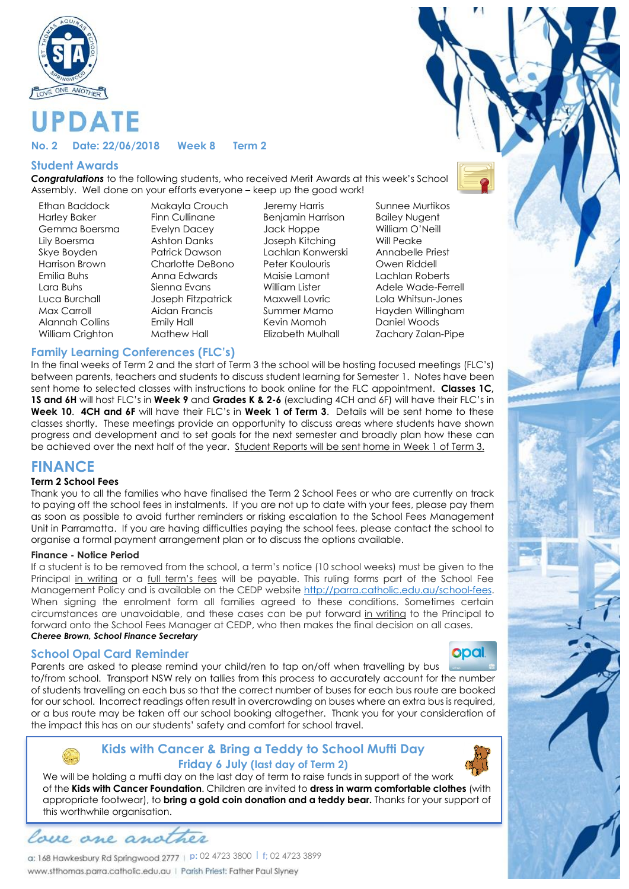

#### **No. 2 Date: 22/06/2018 Week 8 Term 2**

#### **Student Awards**

**DATE** 

*Congratulations* to the following students, who received Merit Awards at this week's School Assembly. Well done on your efforts everyone – keep up the good work!

Ethan Baddock Makayla Crouch Jeremy Harris Sunnee Murtikos Harley Baker Finn Cullinane Benjamin Harrison Bailey Nugent<br>Gemma Boersma Fyelvn Dacey Jack Hoppe Bailey Nulliam O'Neill Gemma Boersma evelyn Dacey and Jack Hoppe Lily Boersma Ashton Danks Joseph Kitching Will Peake Skye Boyden Patrick Dawson Lachlan Konwerski Annabelle Priest Harrison Brown Charlotte DeBono Peter Koulouris Owen Riddell Emilia Buhs Anna Edwards Maisie Lamont Lachlan Roberts Alannah Collins Emily Hall Kevin Momoh Daniel Woods

Lara Buhs Sienna Evans William Lister Adele Wade-Ferrell Luca Burchall Joseph Fitzpatrick Maxwell Lovric Lola Whitsun-Jones Max Carroll Aidan Francis Summer Mamo Hayden Willingham William Crighton Mathew Hall Elizabeth Mulhall Zachary Zalan-Pipe

#### **Family Learning Conferences (FLC's)**

In the final weeks of Term 2 and the start of Term 3 the school will be hosting focused meetings (FLC's) between parents, teachers and students to discuss student learning for Semester 1. Notes have been sent home to selected classes with instructions to book online for the FLC appointment. **Classes 1C, 1S and 6H** will host FLC's in **Week 9** and **Grades K & 2-6** (excluding 4CH and 6F) will have their FLC's in **Week 10**. **4CH and 6F** will have their FLC's in **Week 1 of Term 3**. Details will be sent home to these classes shortly. These meetings provide an opportunity to discuss areas where students have shown progress and development and to set goals for the next semester and broadly plan how these can be achieved over the next half of the year. Student Reports will be sent home in Week 1 of Term 3.

## **FINANCE**

#### **Term 2 School Fees**

Thank you to all the families who have finalised the Term 2 School Fees or who are currently on track to paying off the school fees in instalments. If you are not up to date with your fees, please pay them as soon as possible to avoid further reminders or risking escalation to the School Fees Management Unit in Parramatta. If you are having difficulties paying the school fees, please contact the school to organise a formal payment arrangement plan or to discuss the options available.

#### **Finance - Notice Period**

If a student is to be removed from the school, a term's notice (10 school weeks) must be given to the Principal in writing or a full term's fees will be payable. This ruling forms part of the School Fee Management Policy and is available on the CEDP website http://parra.catholic.edu.au/school-fees. When signing the enrolment form all families agreed to these conditions. Sometimes certain circumstances are unavoidable, and these cases can be put forward in writing to the Principal to forward onto the School Fees Manager at CEDP, who then makes the final decision on all cases. *Cheree Brown, School Finance Secretary*

#### **School Opal Card Reminder**



Parents are asked to please remind your child/ren to tap on/off when travelling by bus to/from school. Transport NSW rely on tallies from this process to accurately account for the number of students travelling on each bus so that the correct number of buses for each bus route are booked for our school. Incorrect readings often result in overcrowding on buses where an extra bus is required, or a bus route may be taken off our school booking altogether. Thank you for your consideration of the impact this has on our students' safety and comfort for school travel.

### **Kids with Cancer & Bring a Teddy to School Mufti Day Friday 6 July (last day of Term 2)**



lace ane and

**p:** 02 4723 3800 l **f;** 02 4723 3899 www.stthomas.parra.catholic.edu.au | Parish Priest: Father Paul Slyney